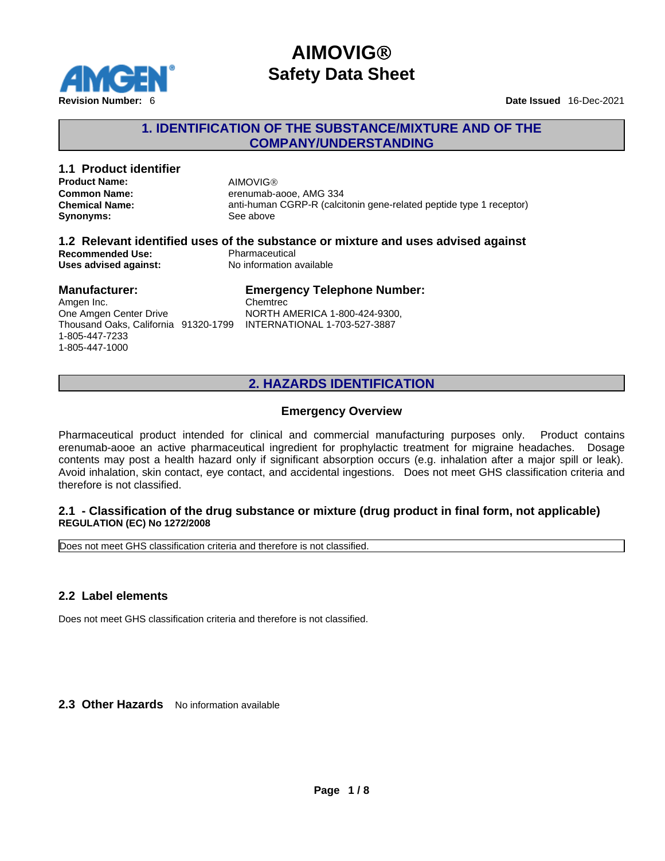

### **1. IDENTIFICATION OF THE SUBSTANCE/MIXTURE AND OF THE COMPANY/UNDERSTANDING**

# **1.1 Product identifier Product Name:** AIMOVIG<sup>®</sup><br> **Common Name:** erenumab-a

**Synonyms:** See above

**Common Name:**<br> **Chemical Name:**<br> **Chemical Name:**<br> **Chemical Name:**<br> **Chemical Name: Chemical Name:** anti-human CGRP-R (calcitonin gene-related peptide type 1 receptor)

#### **1.2 Relevant identified uses of the substance or mixture and uses advised against Recommended Use:**<br> **Uses advised against:**<br> **No information available Uses advised against:**

#### **Manufacturer:** Amgen Inc.

1-805-447-7233 1-805-447-1000

#### One Amgen Center Drive Thousand Oaks, California 91320-1799 INTERNATIONAL 1-703-527-3887 **Emergency Telephone Number:** Chemtrec NORTH AMERICA 1-800-424-9300,

# **2. HAZARDS IDENTIFICATION**

### **Emergency Overview**

Pharmaceutical product intended for clinical and commercial manufacturing purposes only. Product contains erenumab-aooe an active pharmaceutical ingredient for prophylactic treatment for migraine headaches. Dosage contents may post a health hazard only if significant absorption occurs (e.g. inhalation after a major spill or leak). Avoid inhalation, skin contact, eye contact, and accidental ingestions. Does not meet GHS classification criteria and therefore is not classified.

### **2.1 - Classification of the drug substance or mixture (drug product in final form, not applicable) REGULATION (EC) No 1272/2008**

Does not meet GHS classification criteria and therefore is not classified.

### **2.2 Label elements**

Does not meet GHS classification criteria and therefore is not classified.

**2.3 Other Hazards** No information available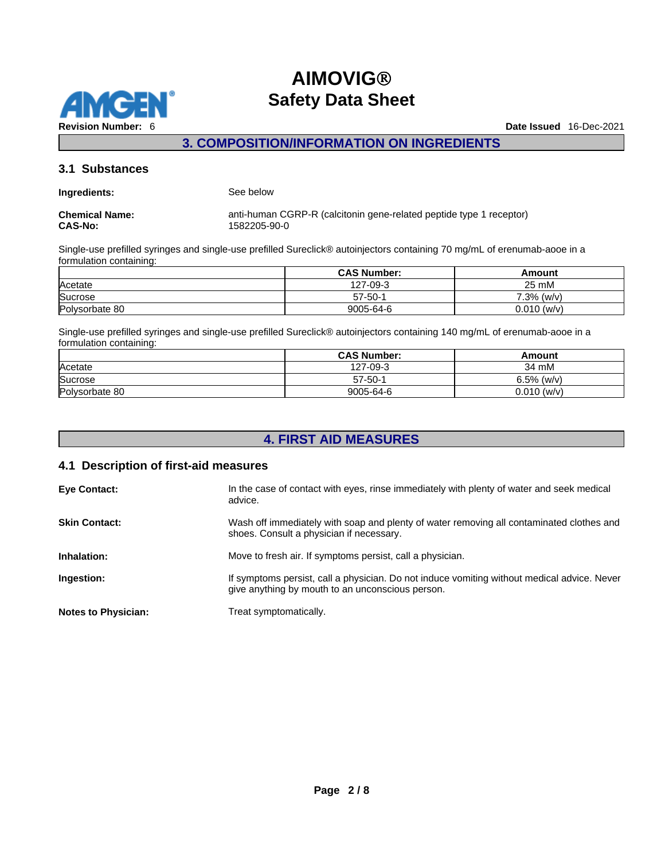

### **3. COMPOSITION/INFORMATION ON INGREDIENTS**

### **3.1 Substances**

| Ingredients: | See below |  |
|--------------|-----------|--|
|              |           |  |

**CAS-No:** 1582205-90-0

**Chemical Name:** anti-human CGRP-R (calcitonin gene-related peptide type 1 receptor)

Single-use prefilled syringes and single-use prefilled Sureclick® autoinjectors containing 70 mg/mL of erenumab-aooe in a formulation containing:

|                | <b>CAS Number:</b>  | Amount        |  |
|----------------|---------------------|---------------|--|
| Acetate        | $7 - 09 - 3$<br>107 | つに<br>25 mM   |  |
| Sucrose        | $57 - 50 - 4$       | 7.3%<br>(w/v  |  |
| Polysorbate 80 | 9005-64-6           | $0.010$ (w/v) |  |

Single-use prefilled syringes and single-use prefilled Sureclick® autoinjectors containing 140 mg/mL of erenumab-aooe in a formulation containing:

|                | <b>CAS Number:</b> | Amount         |
|----------------|--------------------|----------------|
| Acetate        | 27-09-3<br>107     | 34 mM          |
| Sucrose        | $57 - 50 - 1$      | 6.5%<br>, (w/v |
| Polysorbate 80 | 9005-64-6          | $0.010$ (w/v)  |

# **4. FIRST AID MEASURES**

### **4.1 Description of first-aid measures**

| <b>Eye Contact:</b>        | In the case of contact with eyes, rinse immediately with plenty of water and seek medical<br>advice.                                            |
|----------------------------|-------------------------------------------------------------------------------------------------------------------------------------------------|
| <b>Skin Contact:</b>       | Wash off immediately with soap and plenty of water removing all contaminated clothes and<br>shoes. Consult a physician if necessary.            |
| Inhalation:                | Move to fresh air. If symptoms persist, call a physician.                                                                                       |
| Ingestion:                 | If symptoms persist, call a physician. Do not induce vomiting without medical advice. Never<br>give anything by mouth to an unconscious person. |
| <b>Notes to Physician:</b> | Treat symptomatically.                                                                                                                          |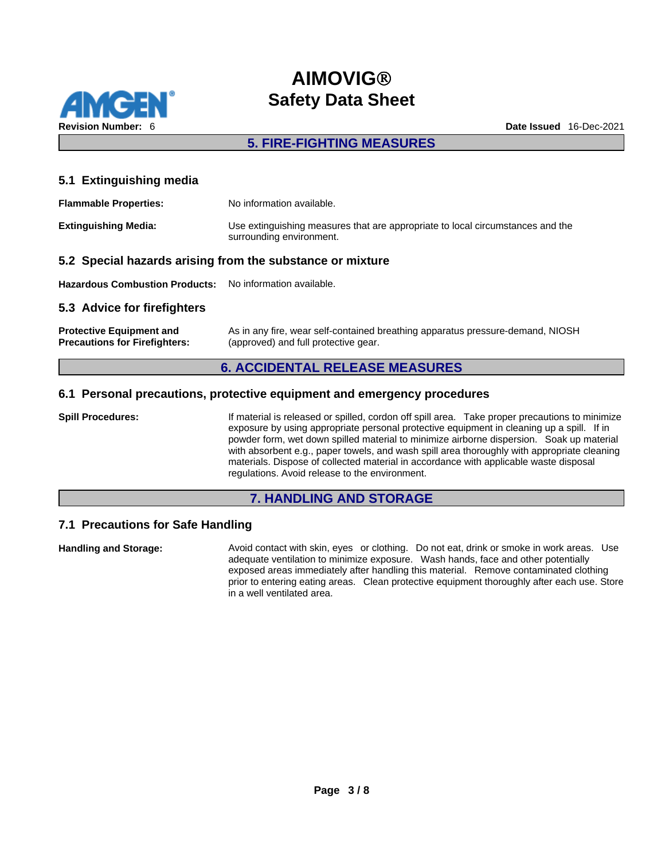

## **5. FIRE-FIGHTING MEASURES**

### **5.1 Extinguishing media**

| <b>Flammable Properties:</b> | No information available.                                                                                  |
|------------------------------|------------------------------------------------------------------------------------------------------------|
| <b>Extinguishing Media:</b>  | Use extinguishing measures that are appropriate to local circumstances and the<br>surrounding environment. |

### **5.2 Special hazards arising from the substance or mixture**

**Hazardous Combustion Products:** No information available.

### **5.3 Advice for firefighters**

| <b>Protective Equipment and</b>      | As in any fire, wear self-contained breathing apparatus pressure-demand, NIOSH |
|--------------------------------------|--------------------------------------------------------------------------------|
| <b>Precautions for Firefighters:</b> | (approved) and full protective gear.                                           |

### **6. ACCIDENTAL RELEASE MEASURES**

### **6.1 Personal precautions, protective equipment and emergency procedures**

**Spill Procedures:** If material is released or spilled, cordon off spill area. Take proper precautions to minimize exposure by using appropriate personal protective equipment in cleaning up a spill. If in powder form, wet down spilled material to minimize airborne dispersion. Soak up material with absorbent e.g., paper towels, and wash spill area thoroughly with appropriate cleaning materials. Dispose of collected material in accordance with applicable waste disposal regulations. Avoid release to the environment.

### **7. HANDLING AND STORAGE**

### **7.1 Precautions for Safe Handling**

**Handling and Storage:** Avoid contact with skin, eyes or clothing. Do not eat, drink or smoke in work areas. Use adequate ventilation to minimize exposure. Wash hands, face and other potentially exposed areas immediately after handling this material. Remove contaminated clothing prior to entering eating areas. Clean protective equipment thoroughly after each use. Store in a well ventilated area.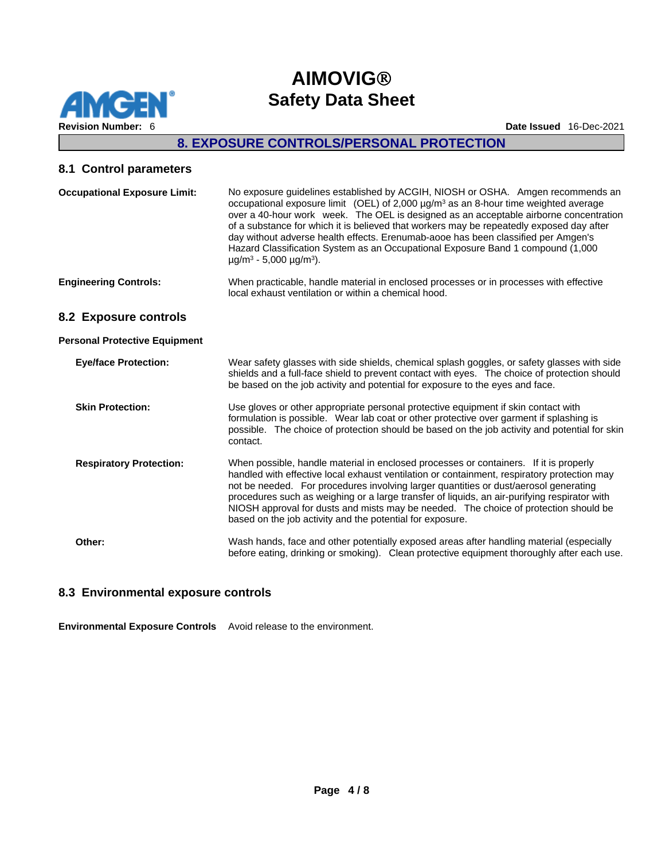

# **8. EXPOSURE CONTROLS/PERSONAL PROTECTION**

## **8.1 Control parameters**

| <b>Occupational Exposure Limit:</b>  | No exposure guidelines established by ACGIH, NIOSH or OSHA. Amgen recommends an<br>occupational exposure limit (OEL) of 2,000 $\mu$ g/m <sup>3</sup> as an 8-hour time weighted average<br>over a 40-hour work week. The OEL is designed as an acceptable airborne concentration<br>of a substance for which it is believed that workers may be repeatedly exposed day after<br>day without adverse health effects. Erenumab-aooe has been classified per Amgen's<br>Hazard Classification System as an Occupational Exposure Band 1 compound (1,000<br>$\mu$ g/m <sup>3</sup> - 5,000 $\mu$ g/m <sup>3</sup> ). |
|--------------------------------------|------------------------------------------------------------------------------------------------------------------------------------------------------------------------------------------------------------------------------------------------------------------------------------------------------------------------------------------------------------------------------------------------------------------------------------------------------------------------------------------------------------------------------------------------------------------------------------------------------------------|
| <b>Engineering Controls:</b>         | When practicable, handle material in enclosed processes or in processes with effective<br>local exhaust ventilation or within a chemical hood.                                                                                                                                                                                                                                                                                                                                                                                                                                                                   |
| 8.2 Exposure controls                |                                                                                                                                                                                                                                                                                                                                                                                                                                                                                                                                                                                                                  |
| <b>Personal Protective Equipment</b> |                                                                                                                                                                                                                                                                                                                                                                                                                                                                                                                                                                                                                  |
| <b>Eye/face Protection:</b>          | Wear safety glasses with side shields, chemical splash goggles, or safety glasses with side<br>shields and a full-face shield to prevent contact with eyes. The choice of protection should<br>be based on the job activity and potential for exposure to the eyes and face.                                                                                                                                                                                                                                                                                                                                     |
| <b>Skin Protection:</b>              | Use gloves or other appropriate personal protective equipment if skin contact with<br>formulation is possible. Wear lab coat or other protective over garment if splashing is<br>possible. The choice of protection should be based on the job activity and potential for skin<br>contact.                                                                                                                                                                                                                                                                                                                       |
| <b>Respiratory Protection:</b>       | When possible, handle material in enclosed processes or containers. If it is properly<br>handled with effective local exhaust ventilation or containment, respiratory protection may<br>not be needed. For procedures involving larger quantities or dust/aerosol generating<br>procedures such as weighing or a large transfer of liquids, an air-purifying respirator with<br>NIOSH approval for dusts and mists may be needed. The choice of protection should be<br>based on the job activity and the potential for exposure.                                                                                |
| Other:                               | Wash hands, face and other potentially exposed areas after handling material (especially<br>before eating, drinking or smoking). Clean protective equipment thoroughly after each use.                                                                                                                                                                                                                                                                                                                                                                                                                           |

# **8.3 Environmental exposure controls**

**Environmental Exposure Controls** Avoid release to the environment.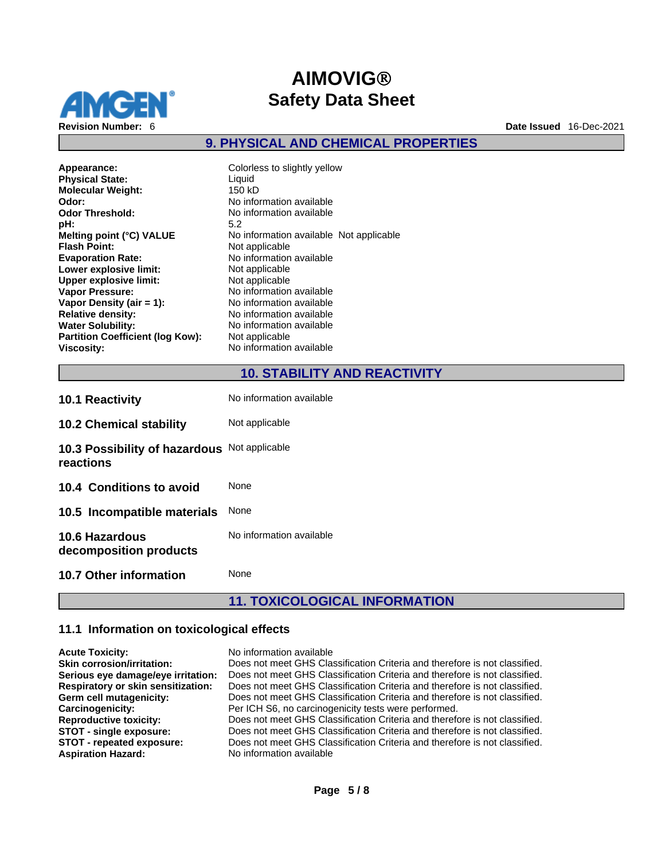

# **9. PHYSICAL AND CHEMICAL PROPERTIES**

| Appearance:<br><b>Physical State:</b>   | Colorless to slightly yellow<br>Liquid |  |
|-----------------------------------------|----------------------------------------|--|
| <b>Molecular Weight:</b>                | 150 kD                                 |  |
| Odor:                                   | No information available               |  |
| <b>Odor Threshold:</b>                  | No information available               |  |
| pH:                                     | 5.2                                    |  |
| Melting point (°C) VALUE                | No information available N             |  |
| <b>Flash Point:</b>                     | Not applicable                         |  |
| <b>Evaporation Rate:</b>                | No information available               |  |
| Lower explosive limit:                  | Not applicable                         |  |
| <b>Upper explosive limit:</b>           | Not applicable                         |  |
| <b>Vapor Pressure:</b>                  | No information available               |  |
| Vapor Density (air $= 1$ ):             | No information available               |  |
| <b>Relative density:</b>                | No information available               |  |
| <b>Water Solubility:</b>                | No information available               |  |
| <b>Partition Coefficient (log Kow):</b> | Not applicable                         |  |
| <b>Viscosity:</b>                       | No information available               |  |

**Appearance:** Colorless to slightly yellow **Odor:** No information available **Odor Threshold:** No information available **Meditionally Point Alter** Not applicable **Flash Point:** Not applicable **Evaporation Rate:** No information available **Lower explosive limit:** Not applicable  $applied be$ **Vapor Pressure:** No information available **nformation available** *<u>A</u> Relation available* **nformation available Partition Coefficient (log Kow):** Not applicable **Viscosity:** No information available

# **10. STABILITY AND REACTIVITY**

|                                                           | <b>11. TOXICOLOGICAL INFORMATION</b> |
|-----------------------------------------------------------|--------------------------------------|
| 10.7 Other information                                    | None                                 |
| <b>10.6 Hazardous</b><br>decomposition products           | No information available             |
| 10.5 Incompatible materials                               | None                                 |
| 10.4 Conditions to avoid                                  | <b>None</b>                          |
| 10.3 Possibility of hazardous Not applicable<br>reactions |                                      |
| <b>10.2 Chemical stability</b>                            | Not applicable                       |
| <b>10.1 Reactivity</b>                                    | No information available             |

# **11.1 Information on toxicological effects**

| <b>Acute Toxicity:</b>             | No information available                                                   |
|------------------------------------|----------------------------------------------------------------------------|
| <b>Skin corrosion/irritation:</b>  | Does not meet GHS Classification Criteria and therefore is not classified. |
| Serious eye damage/eye irritation: | Does not meet GHS Classification Criteria and therefore is not classified. |
| Respiratory or skin sensitization: | Does not meet GHS Classification Criteria and therefore is not classified. |
| Germ cell mutagenicity:            | Does not meet GHS Classification Criteria and therefore is not classified. |
| Carcinogenicity:                   | Per ICH S6, no carcinogenicity tests were performed.                       |
| <b>Reproductive toxicity:</b>      | Does not meet GHS Classification Criteria and therefore is not classified. |
| STOT - single exposure:            | Does not meet GHS Classification Criteria and therefore is not classified. |
| STOT - repeated exposure:          | Does not meet GHS Classification Criteria and therefore is not classified. |
| <b>Aspiration Hazard:</b>          | No information available                                                   |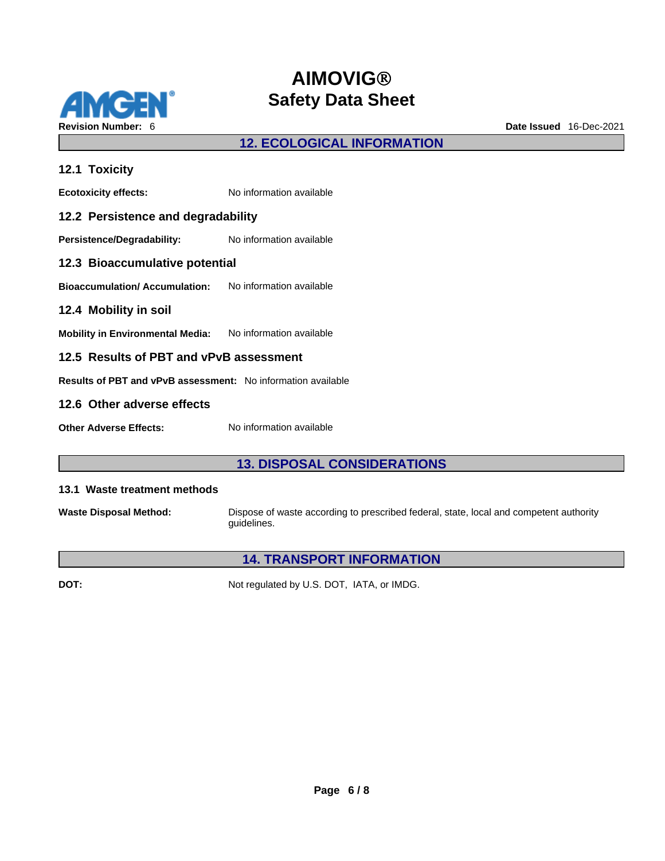

## **12. ECOLOGICAL INFORMATION**

| 12.1 Toxicity                                                       |                          |  |
|---------------------------------------------------------------------|--------------------------|--|
| <b>Ecotoxicity effects:</b>                                         | No information available |  |
| 12.2 Persistence and degradability                                  |                          |  |
| Persistence/Degradability:                                          | No information available |  |
| 12.3 Bioaccumulative potential                                      |                          |  |
| <b>Bioaccumulation/Accumulation:</b> No information available       |                          |  |
| 12.4 Mobility in soil                                               |                          |  |
| Mobility in Environmental Media: No information available           |                          |  |
| 12.5 Results of PBT and vPvB assessment                             |                          |  |
| <b>Results of PBT and vPvB assessment:</b> No information available |                          |  |
| 12.6 Other adverse effects                                          |                          |  |
| <b>Other Adverse Effects:</b>                                       | No information available |  |

# **13. DISPOSAL CONSIDERATIONS**

#### **13.1 Waste treatment methods**

**Waste Disposal Method:** Dispose of waste according to prescribed federal, state, local and competent authority guidelines.

### **14. TRANSPORT INFORMATION**

**DOT:** Not regulated by U.S. DOT, IATA, or IMDG.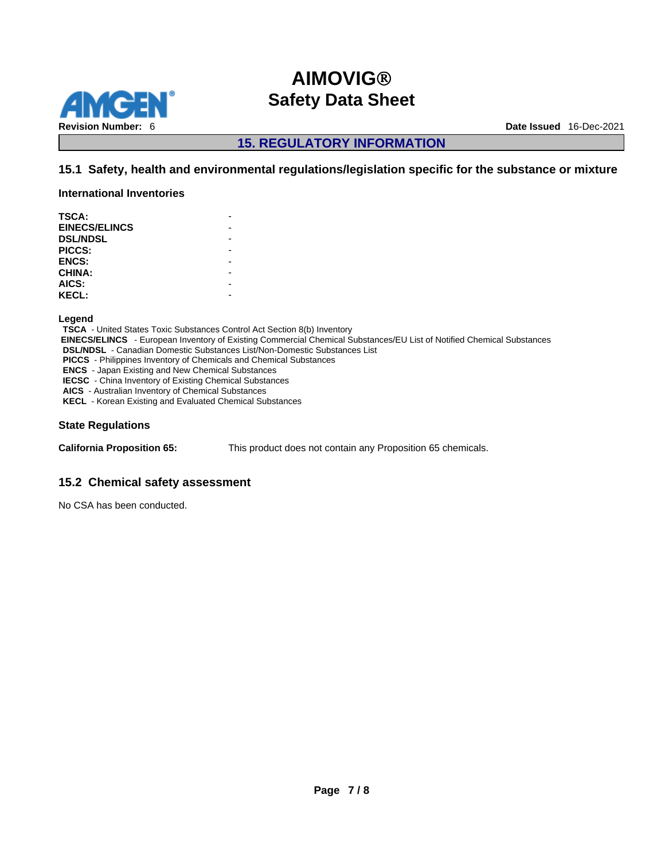

**15. REGULATORY INFORMATION** 

### **15.1 Safety, health and environmental regulations/legislation specific for the substance or mixture**

**International Inventories**

| TSCA:                |  |
|----------------------|--|
| <b>EINECS/ELINCS</b> |  |
| <b>DSL/NDSL</b>      |  |
| PICCS:               |  |
| <b>ENCS:</b>         |  |
| <b>CHINA:</b>        |  |
| AICS:                |  |
| <b>KECL:</b>         |  |
|                      |  |

**Legend** 

**TSCA** - United States Toxic Substances Control Act Section 8(b) Inventory  **EINECS/ELINCS** - European Inventory of Existing Commercial Chemical Substances/EU List of Notified Chemical Substances **DSL/NDSL** - Canadian Domestic Substances List/Non-Domestic Substances List **PICCS** - Philippines Inventory of Chemicals and Chemical Substances **ENCS** - Japan Existing and New Chemical Substances **IECSC** - China Inventory of Existing Chemical Substances **AICS** - Australian Inventory of Chemical Substances **KECL** - Korean Existing and Evaluated Chemical Substances

### **State Regulations**

**California Proposition 65:** This product does not contain any Proposition 65 chemicals.

### **15.2 Chemical safety assessment**

No CSA has been conducted.